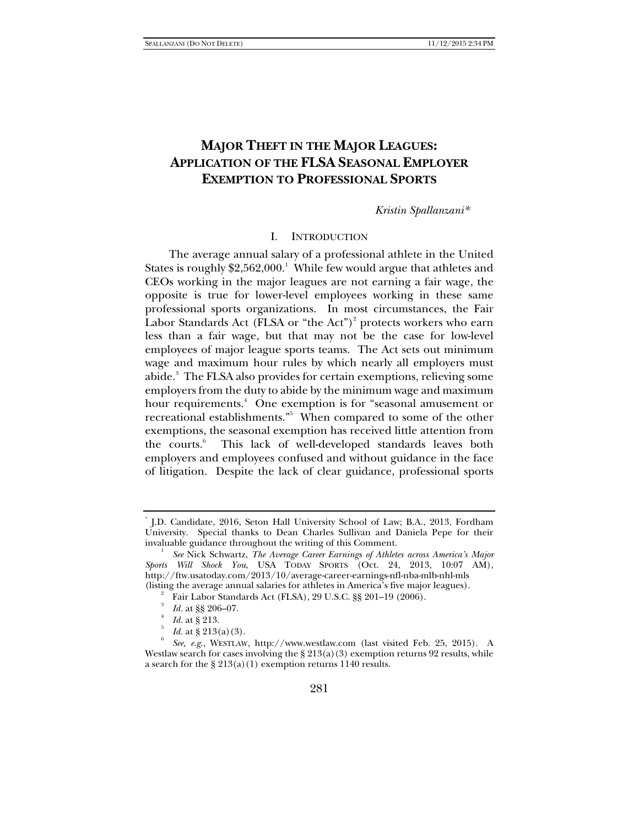# **MAJOR THEFT IN THE MAJOR LEAGUES: APPLICATION OF THE FLSA SEASONAL EMPLOYER EXEMPTION TO PROFESSIONAL SPORTS**

*Kristin Spallanzani\** 

#### I. INTRODUCTION

The average annual salary of a professional athlete in the United States is roughly  $$2,562,000.<sup>1</sup>$  While few would argue that athletes and CEOs working in the major leagues are not earning a fair wage, the opposite is true for lower-level employees working in these same professional sports organizations. In most circumstances, the Fair Labor Standards Act (FLSA or "the Act")<sup>2</sup> protects workers who earn less than a fair wage, but that may not be the case for low-level employees of major league sports teams. The Act sets out minimum wage and maximum hour rules by which nearly all employers must abide.3 The FLSA also provides for certain exemptions, relieving some employers from the duty to abide by the minimum wage and maximum hour requirements.<sup>4</sup> One exemption is for "seasonal amusement or recreational establishments."5 When compared to some of the other exemptions, the seasonal exemption has received little attention from the courts. $6$  This lack of well-developed standards leaves both employers and employees confused and without guidance in the face of litigation. Despite the lack of clear guidance, professional sports

<sup>\*</sup> J.D. Candidate, 2016, Seton Hall University School of Law; B.A., 2013, Fordham University. Special thanks to Dean Charles Sullivan and Daniela Pepe for their invaluable guidance throughout the writing of this Comment. 1

*See* Nick Schwartz, *The Average Career Earnings of Athletes across America's Major Sports Will Shock You*, USA TODAY SPORTS (Oct. 24, 2013, 10:07 AM), http://ftw.usatoday.com/2013/10/average-career-earnings-nfl-nba-mlb-nhl-mls (listing the average annual salaries for athletes in America's five major leagues). 2

Fair Labor Standards Act (FLSA), 29 U.S.C. §§ 201–19 (2006).

<sup>3</sup> *Id.* at §§ 206-07.

*Id.* at § 213.

*Id.* at  $\S 213(a)(3)$ .

*See, e.g*., WESTLAW, http://www.westlaw.com (last visited Feb. 25, 2015). A Westlaw search for cases involving the  $\S 213(a)(3)$  exemption returns 92 results, while a search for the § 213(a)(1) exemption returns 1140 results.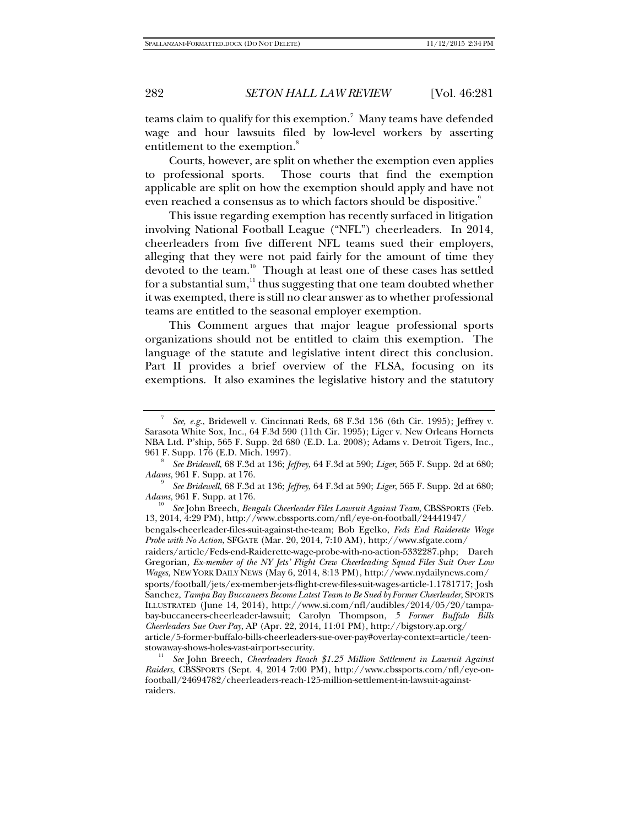teams claim to qualify for this exemption.<sup>7</sup> Many teams have defended wage and hour lawsuits filed by low-level workers by asserting entitlement to the exemption.<sup>8</sup>

Courts, however, are split on whether the exemption even applies to professional sports. Those courts that find the exemption applicable are split on how the exemption should apply and have not even reached a consensus as to which factors should be dispositive.<sup>9</sup>

This issue regarding exemption has recently surfaced in litigation involving National Football League ("NFL") cheerleaders. In 2014, cheerleaders from five different NFL teams sued their employers, alleging that they were not paid fairly for the amount of time they devoted to the team.<sup>10</sup> Though at least one of these cases has settled for a substantial sum, $11$  thus suggesting that one team doubted whether it was exempted, there is still no clear answer as to whether professional teams are entitled to the seasonal employer exemption.

This Comment argues that major league professional sports organizations should not be entitled to claim this exemption. The language of the statute and legislative intent direct this conclusion. Part II provides a brief overview of the FLSA, focusing on its exemptions. It also examines the legislative history and the statutory

 *See* John Breech, *Bengals Cheerleader Files Lawsuit Against Team*, CBSSPORTS (Feb. 13, 2014, 4:29 PM), http://www.cbssports.com/nfl/eye-on-football/24441947/

bengals-cheerleader-files-suit-against-the-team; Bob Egelko, *Feds End Raiderette Wage Probe with No Action*, SFGATE (Mar. 20, 2014, 7:10 AM), http://www.sfgate.com/

raiders/article/Feds-end-Raiderette-wage-probe-with-no-action-5332287.php; Dareh Gregorian, *Ex-member of the NY Jets' Flight Crew Cheerleading Squad Files Suit Over Low Wages*, NEW YORK DAILY NEWS (May 6, 2014, 8:13 PM), http://www.nydailynews.com/ sports/football/jets/ex-member-jets-flight-crew-files-suit-wages-article-1.1781717; Josh Sanchez, *Tampa Bay Buccaneers Become Latest Team to Be Sued by Former Cheerleader*, SPORTS ILLUSTRATED (June 14, 2014), http://www.si.com/nfl/audibles/2014/05/20/tampabay-buccaneers-cheerleader-lawsuit; Carolyn Thompson, *5 Former Buffalo Bills Cheerleaders Sue Over Pay*, AP (Apr. 22, 2014, 11:01 PM), http://bigstory.ap.org/ article/5-former-buffalo-bills-cheerleaders-sue-over-pay#overlay-context=article/teen-

See John Breech, *Cheerleaders Reach* \$1.25 Million Settlement in Lawsuit Against *Raiders*, CBSSPORTS (Sept. 4, 2014 7:00 PM), http://www.cbssports.com/nfl/eye-onfootball/24694782/cheerleaders-reach-125-million-settlement-in-lawsuit-againstraiders.

<sup>7</sup> *See, e.g.*, Bridewell v. Cincinnati Reds, 68 F.3d 136 (6th Cir. 1995); Jeffrey v. Sarasota White Sox, Inc., 64 F.3d 590 (11th Cir. 1995); Liger v. New Orleans Hornets NBA Ltd. P'ship, 565 F. Supp. 2d 680 (E.D. La. 2008); Adams v. Detroit Tigers, Inc., 961 F. Supp. 176 (E.D. Mich. 1997). 8

*See Bridewell*, 68 F.3d at 136; *Jeffrey*, 64 F.3d at 590; *Liger*, 565 F. Supp. 2d at 680; *Adams*, 961 F. Supp. at 176.

*See Bridewell*, 68 F.3d at 136; *Jeffrey*, 64 F.3d at 590; *Liger*, 565 F. Supp. 2d at 680; *Adams*, 961 F. Supp. at 176.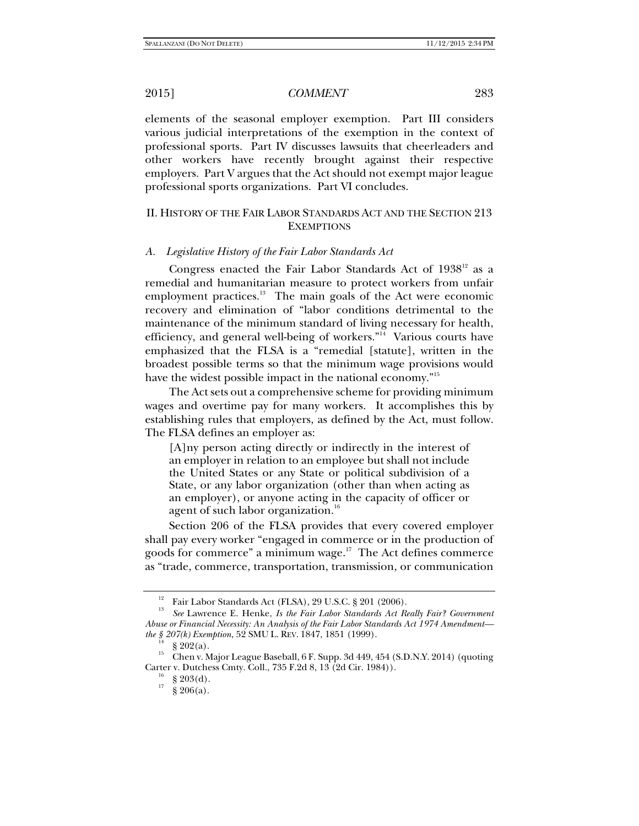elements of the seasonal employer exemption. Part III considers various judicial interpretations of the exemption in the context of professional sports. Part IV discusses lawsuits that cheerleaders and other workers have recently brought against their respective employers. Part V argues that the Act should not exempt major league professional sports organizations. Part VI concludes.

## II. HISTORY OF THE FAIR LABOR STANDARDS ACT AND THE SECTION 213 **EXEMPTIONS**

### *A. Legislative History of the Fair Labor Standards Act*

Congress enacted the Fair Labor Standards Act of  $1938^{12}$  as a remedial and humanitarian measure to protect workers from unfair employment practices.<sup>13</sup> The main goals of the Act were economic recovery and elimination of "labor conditions detrimental to the maintenance of the minimum standard of living necessary for health, efficiency, and general well-being of workers." $\frac{1}{4}$  Various courts have emphasized that the FLSA is a "remedial [statute], written in the broadest possible terms so that the minimum wage provisions would have the widest possible impact in the national economy."<sup>15</sup>

The Act sets out a comprehensive scheme for providing minimum wages and overtime pay for many workers. It accomplishes this by establishing rules that employers, as defined by the Act, must follow. The FLSA defines an employer as:

[A]ny person acting directly or indirectly in the interest of an employer in relation to an employee but shall not include the United States or any State or political subdivision of a State, or any labor organization (other than when acting as an employer), or anyone acting in the capacity of officer or agent of such labor organization.<sup>16</sup>

Section 206 of the FLSA provides that every covered employer shall pay every worker "engaged in commerce or in the production of goods for commerce" a minimum wage.<sup>17</sup> The Act defines commerce as "trade, commerce, transportation, transmission, or communication

 $rac{16}{17}$  § 203(d).<br> $rac{16}{5}$  § 206(a).

<sup>&</sup>lt;sup>12</sup> Fair Labor Standards Act (FLSA), 29 U.S.C. § 201 (2006).

<sup>13</sup> *See* Lawrence E. Henke, *Is the Fair Labor Standards Act Really Fair? Government Abuse or Financial Necessity: An Analysis of the Fair Labor Standards Act 1974 Amendment the* § 207(*k*) *Exemption*, 52 SMU L. REV. 1847, 1851 (1999).<br><sup>14</sup> § 202(a).

<sup>&</sup>lt;sup>15</sup> Chen v. Major League Baseball, 6 F. Supp. 3d 449, 454 (S.D.N.Y. 2014) (quoting Carter v. Dutchess Cmty. Coll., 735 F.2d 8, 13 (2d Cir. 1984)).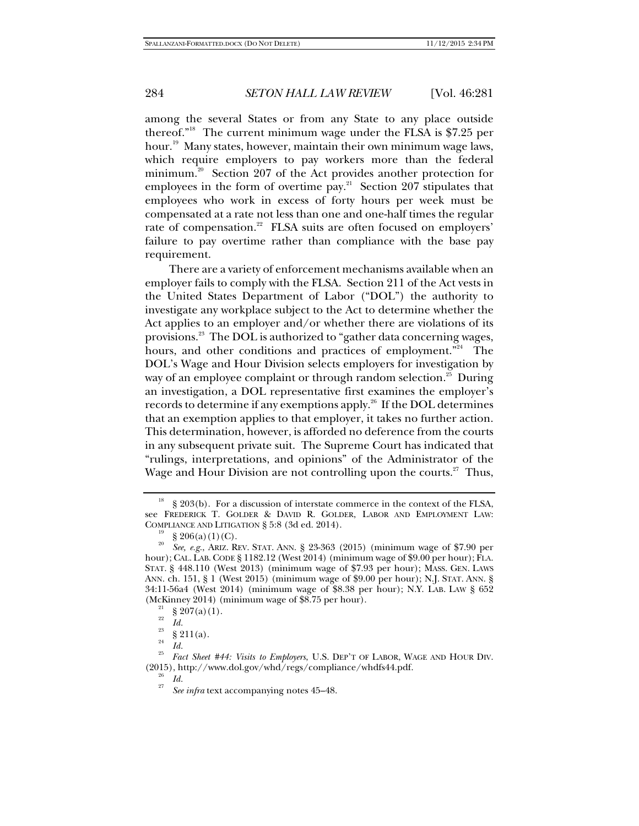among the several States or from any State to any place outside thereof."18 The current minimum wage under the FLSA is \$7.25 per hour.<sup>19</sup> Many states, however, maintain their own minimum wage laws, which require employers to pay workers more than the federal minimum.<sup>20</sup> Section 207 of the Act provides another protection for employees in the form of overtime pay.<sup>21</sup> Section 207 stipulates that employees who work in excess of forty hours per week must be compensated at a rate not less than one and one-half times the regular rate of compensation.<sup>22</sup> FLSA suits are often focused on employers' failure to pay overtime rather than compliance with the base pay requirement.

There are a variety of enforcement mechanisms available when an employer fails to comply with the FLSA. Section 211 of the Act vests in the United States Department of Labor ("DOL") the authority to investigate any workplace subject to the Act to determine whether the Act applies to an employer and/or whether there are violations of its provisions.<sup>23</sup> The DOL is authorized to "gather data concerning wages, hours, and other conditions and practices of employment."<sup>24</sup> The DOL's Wage and Hour Division selects employers for investigation by way of an employee complaint or through random selection.<sup>25</sup> During an investigation, a DOL representative first examines the employer's records to determine if any exemptions apply.<sup>26</sup> If the DOL determines that an exemption applies to that employer, it takes no further action. This determination, however, is afforded no deference from the courts in any subsequent private suit. The Supreme Court has indicated that "rulings, interpretations, and opinions" of the Administrator of the Wage and Hour Division are not controlling upon the courts. $27$  Thus,

<sup>18 § 203(</sup>b). For a discussion of interstate commerce in the context of the FLSA, see FREDERICK T. GOLDER & DAVID R. GOLDER, LABOR AND EMPLOYMENT LAW: COMPLIANCE AND LITIGATION § 5:8 (3d ed. 2014).<br><sup>19</sup> § 206(a)(1)(C).<br><sup>20</sup> <sup>9</sup>

<sup>20</sup> *See, e.g.*, ARIZ. REV. STAT. ANN. § 23-363 (2015) (minimum wage of \$7.90 per hour); CAL. LAB. CODE § 1182.12 (West 2014) (minimum wage of \$9.00 per hour); FLA. STAT. § 448.110 (West 2013) (minimum wage of \$7.93 per hour); MASS. GEN. LAWS ANN. ch. 151, § 1 (West 2015) (minimum wage of \$9.00 per hour); N.J. STAT. ANN. § 34:11-56a4 (West 2014) (minimum wage of \$8.38 per hour); N.Y. LAB. LAW § 652 (McKinney 2014) (minimum wage of \$8.75 per hour).<br><sup>21</sup> § 207(a)(1).

<sup>22</sup>

 $\frac{22}{23}$  *Id.*<br>  $\frac{23}{24}$  § 211(a).

 $\frac{24}{25}$  *Id.* 

*Fact Sheet #44: Visits to Employers*, U.S. DEP'T OF LABOR, WAGE AND HOUR DIV. (2015), http://www.dol.gov/whd/regs/compliance/whdfs44.pdf. 26 *Id.* <sup>27</sup>

*See infra* text accompanying notes 45–48.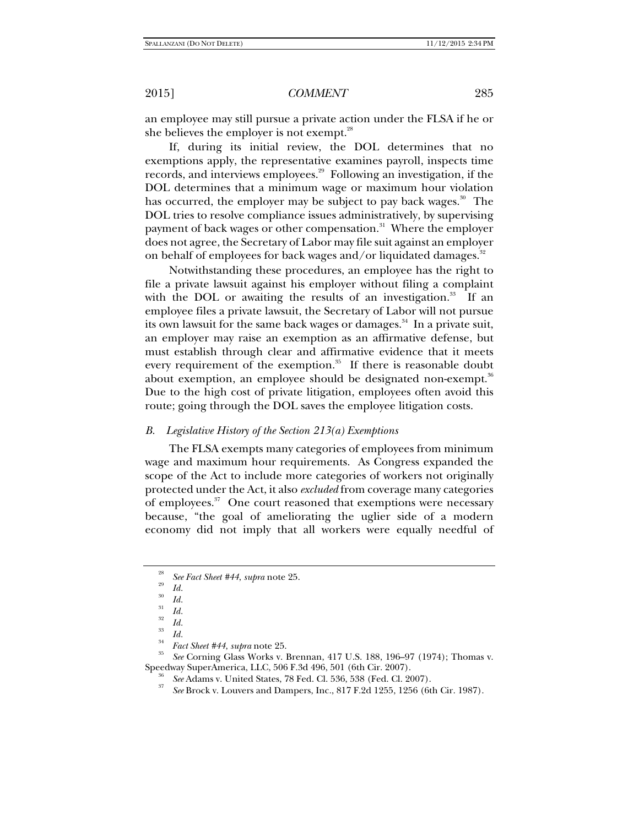an employee may still pursue a private action under the FLSA if he or she believes the employer is not exempt.<sup>28</sup>

If, during its initial review, the DOL determines that no exemptions apply, the representative examines payroll, inspects time records, and interviews employees.<sup>29</sup> Following an investigation, if the DOL determines that a minimum wage or maximum hour violation has occurred, the employer may be subject to pay back wages.<sup>30</sup> The DOL tries to resolve compliance issues administratively, by supervising payment of back wages or other compensation.<sup>31</sup> Where the employer does not agree, the Secretary of Labor may file suit against an employer on behalf of employees for back wages and/or liquidated damages. $32$ 

Notwithstanding these procedures, an employee has the right to file a private lawsuit against his employer without filing a complaint with the DOL or awaiting the results of an investigation. $33$  If an employee files a private lawsuit, the Secretary of Labor will not pursue its own lawsuit for the same back wages or damages.<sup>34</sup> In a private suit, an employer may raise an exemption as an affirmative defense, but must establish through clear and affirmative evidence that it meets every requirement of the exemption.<sup>35</sup> If there is reasonable doubt about exemption, an employee should be designated non-exempt.<sup>36</sup> Due to the high cost of private litigation, employees often avoid this route; going through the DOL saves the employee litigation costs.

## *B. Legislative History of the Section 213(a) Exemptions*

The FLSA exempts many categories of employees from minimum wage and maximum hour requirements. As Congress expanded the scope of the Act to include more categories of workers not originally protected under the Act, it also *excluded* from coverage many categories of employees.<sup>37</sup> One court reasoned that exemptions were necessary because, "the goal of ameliorating the uglier side of a modern economy did not imply that all workers were equally needful of

*Id.* 30 *Id.* 31 *Id.* 32

*See* Corning Glass Works v. Brennan, 417 U.S. 188, 196–97 (1974); Thomas v.

Speedway SuperAmerica, LLC, 506 F.3d 496, 501 (6th Cir. 2007).<br><sup>36</sup> *See* Adams v. United States, 78 Fed. Cl. 536, 538 (Fed. Cl. 2007).

*See* Brock v. Louvers and Dampers, Inc., 817 F.2d 1255, 1256 (6th Cir. 1987).

<sup>28</sup> *See Fact Sheet #44*, *supra* note 25. 29

*Id.* 33 *Id.* 34 *Fact Sheet #44*, *supra* note 25. 35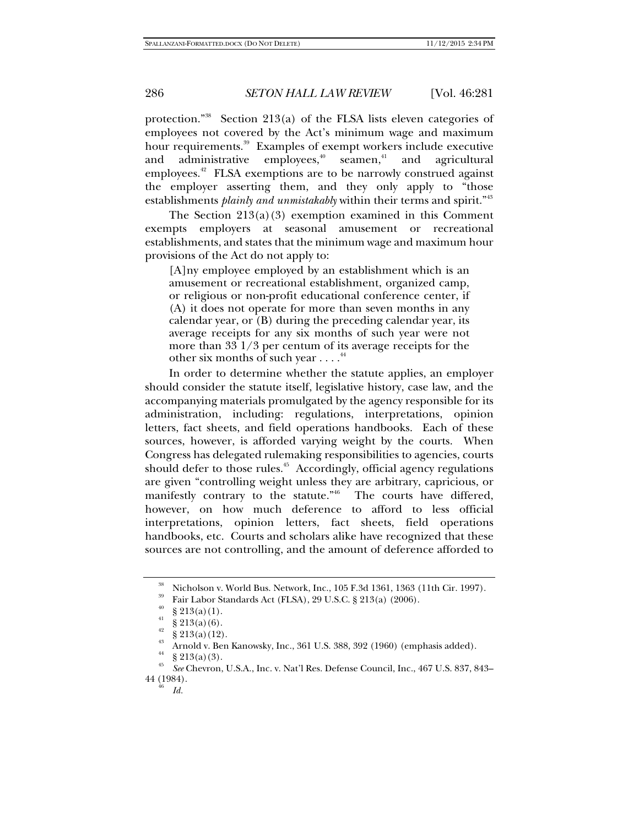protection."<sup>38</sup> Section 213(a) of the FLSA lists eleven categories of employees not covered by the Act's minimum wage and maximum hour requirements.<sup>39</sup> Examples of exempt workers include executive and administrative employees, $40$  seamen, $41$  and agricultural employees.<sup>42</sup> FLSA exemptions are to be narrowly construed against the employer asserting them, and they only apply to "those establishments *plainly and unmistakably* within their terms and spirit."<sup>43</sup>

The Section  $213(a)(3)$  exemption examined in this Comment exempts employers at seasonal amusement or recreational establishments, and states that the minimum wage and maximum hour provisions of the Act do not apply to:

[A]ny employee employed by an establishment which is an amusement or recreational establishment, organized camp, or religious or non-profit educational conference center, if (A) it does not operate for more than seven months in any calendar year, or (B) during the preceding calendar year, its average receipts for any six months of such year were not more than 33 1/3 per centum of its average receipts for the other six months of such year  $\dots$ .<sup>44</sup>

In order to determine whether the statute applies, an employer should consider the statute itself, legislative history, case law, and the accompanying materials promulgated by the agency responsible for its administration, including: regulations, interpretations, opinion letters, fact sheets, and field operations handbooks. Each of these sources, however, is afforded varying weight by the courts. When Congress has delegated rulemaking responsibilities to agencies, courts should defer to those rules. $45$  Accordingly, official agency regulations are given "controlling weight unless they are arbitrary, capricious, or manifestly contrary to the statute."<sup>46</sup> The courts have differed, however, on how much deference to afford to less official interpretations, opinion letters, fact sheets, field operations handbooks, etc. Courts and scholars alike have recognized that these sources are not controlling, and the amount of deference afforded to

<sup>38</sup> Nicholson v. World Bus. Network, Inc., 105 F.3d 1361, 1363 (11th Cir. 1997).

<sup>39</sup> Fair Labor Standards Act (FLSA), 29 U.S.C. § 213(a) (2006).

 $\frac{40}{41}$  § 213(a)(1).

 $$213(a)(6).$ 

 $\S 213(a)(12)$ .

Arnold v. Ben Kanowsky, Inc., 361 U.S. 388, 392 (1960) (emphasis added).

 $\frac{44}{45}$  § 213(a)(3).

<sup>45</sup> *See* Chevron, U.S.A., Inc. v. Nat'l Res. Defense Council, Inc., 467 U.S. 837, 843– 44 (1984).

*Id.*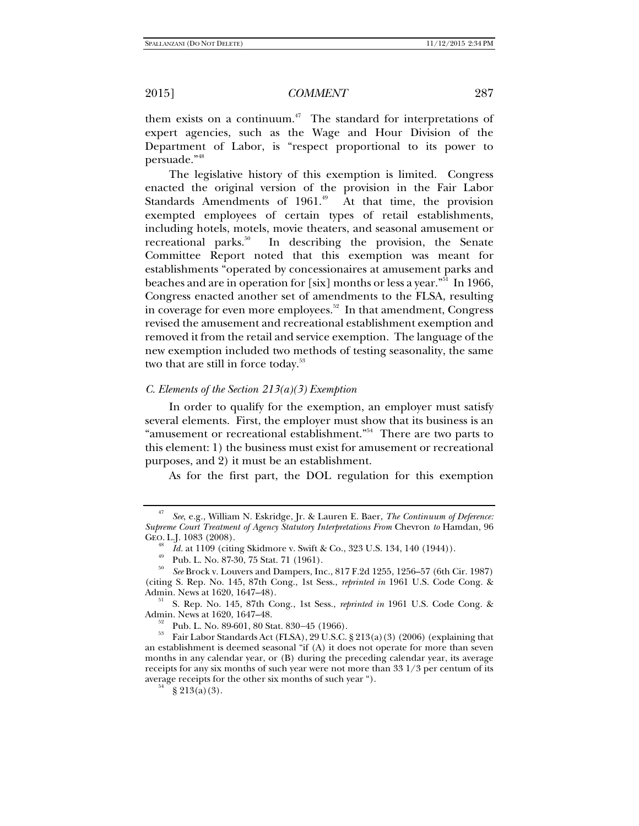them exists on a continuum.<sup> $47$ </sup> The standard for interpretations of expert agencies, such as the Wage and Hour Division of the Department of Labor, is "respect proportional to its power to persuade."48

The legislative history of this exemption is limited. Congress enacted the original version of the provision in the Fair Labor Standards Amendments of  $1961.^{49}$  At that time, the provision exempted employees of certain types of retail establishments, including hotels, motels, movie theaters, and seasonal amusement or recreational parks.<sup>50</sup> In describing the provision, the Senate Committee Report noted that this exemption was meant for establishments "operated by concessionaires at amusement parks and beaches and are in operation for [six] months or less a year."<sup>51</sup> In 1966, Congress enacted another set of amendments to the FLSA, resulting in coverage for even more employees. $52$  In that amendment, Congress revised the amusement and recreational establishment exemption and removed it from the retail and service exemption. The language of the new exemption included two methods of testing seasonality, the same two that are still in force today.<sup>53</sup>

### *C. Elements of the Section 213(a)(3) Exemption*

In order to qualify for the exemption, an employer must satisfy several elements. First, the employer must show that its business is an "amusement or recreational establishment."<sup>54</sup> There are two parts to this element: 1) the business must exist for amusement or recreational purposes, and 2) it must be an establishment.

As for the first part, the DOL regulation for this exemption

<sup>47</sup> *See*, e.g., William N. Eskridge, Jr. & Lauren E. Baer, *The Continuum of Deference: Supreme Court Treatment of Agency Statutory Interpretations From* Chevron *to* Hamdan, 96 GEO. L.J. 1083 (2008).<br><sup>48</sup> *Id.* at 1109 (citing Skidmore v. Swift & Co., 323 U.S. 134, 140 (1944)).

*Id. at 1223* (cities of Co., 3230, 75 Stat. 71 (1961).

<sup>50</sup> *See* Brock v. Louvers and Dampers, Inc., 817 F.2d 1255, 1256–57 (6th Cir. 1987) (citing S. Rep. No. 145, 87th Cong., 1st Sess., *reprinted in* 1961 U.S. Code Cong. &

<sup>&</sup>lt;sup>51</sup> S. Rep. No. 145, 87th Cong., 1st Sess., *reprinted in* 1961 U.S. Code Cong. & Admin. News at 1620, 1647–48.

 $A_{52}^{52}$  Pub. L. No. 89-601, 80 Stat. 830–45 (1966).<br>  $A_{53}^{53}$  Fair Labor Standards Act (FLSA), 29 U.S.C. § 213(a)(3) (2006) (explaining that an establishment is deemed seasonal "if (A) it does not operate for more than seven months in any calendar year, or (B) during the preceding calendar year, its average receipts for any six months of such year were not more than  $33\frac{1}{3}$  per centum of its average receipts for the other six months of such year ").<br>  $5^4$  § 213(a)(3).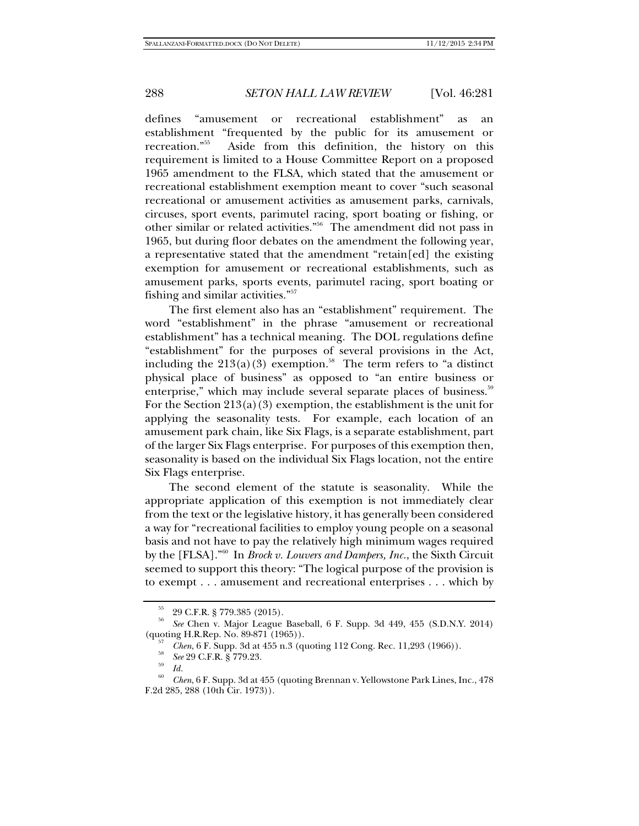defines "amusement or recreational establishment" as an establishment "frequented by the public for its amusement or recreation."55 Aside from this definition, the history on this requirement is limited to a House Committee Report on a proposed 1965 amendment to the FLSA, which stated that the amusement or recreational establishment exemption meant to cover "such seasonal recreational or amusement activities as amusement parks, carnivals, circuses, sport events, parimutel racing, sport boating or fishing, or other similar or related activities."56 The amendment did not pass in 1965, but during floor debates on the amendment the following year, a representative stated that the amendment "retain[ed] the existing exemption for amusement or recreational establishments, such as amusement parks, sports events, parimutel racing, sport boating or fishing and similar activities."57

The first element also has an "establishment" requirement. The word "establishment" in the phrase "amusement or recreational establishment" has a technical meaning. The DOL regulations define "establishment" for the purposes of several provisions in the Act, including the  $213(a)(3)$  exemption.<sup>58</sup> The term refers to "a distinct" physical place of business" as opposed to "an entire business or enterprise," which may include several separate places of business.<sup>59</sup> For the Section  $213(a)(3)$  exemption, the establishment is the unit for applying the seasonality tests. For example, each location of an amusement park chain, like Six Flags, is a separate establishment, part of the larger Six Flags enterprise. For purposes of this exemption then, seasonality is based on the individual Six Flags location, not the entire Six Flags enterprise.

The second element of the statute is seasonality. While the appropriate application of this exemption is not immediately clear from the text or the legislative history, it has generally been considered a way for "recreational facilities to employ young people on a seasonal basis and not have to pay the relatively high minimum wages required by the [FLSA]."60 In *Brock v. Louvers and Dampers, Inc.*, the Sixth Circuit seemed to support this theory: "The logical purpose of the provision is to exempt . . . amusement and recreational enterprises . . . which by

<sup>55 29</sup> C.F.R. § 779.385 (2015).

<sup>56</sup> *See* Chen v. Major League Baseball, 6 F. Supp. 3d 449, 455 (S.D.N.Y. 2014) (quoting H.R.Rep. No. 89-871 (1965)).<br><sup>57</sup> *Chen*, 6 F. Supp. 3d at 455 n.3 (quoting 112 Cong. Rec. 11,293 (1966)).<br><sup>58</sup> *See* 29 C.F.R. § 779.23.

<sup>&</sup>lt;sup>59</sup> Id.<br><sup>60</sup> *Chen*, 6 F. Supp. 3d at 455 (quoting Brennan v. Yellowstone Park Lines, Inc., 478) F.2d 285, 288 (10th Cir. 1973)).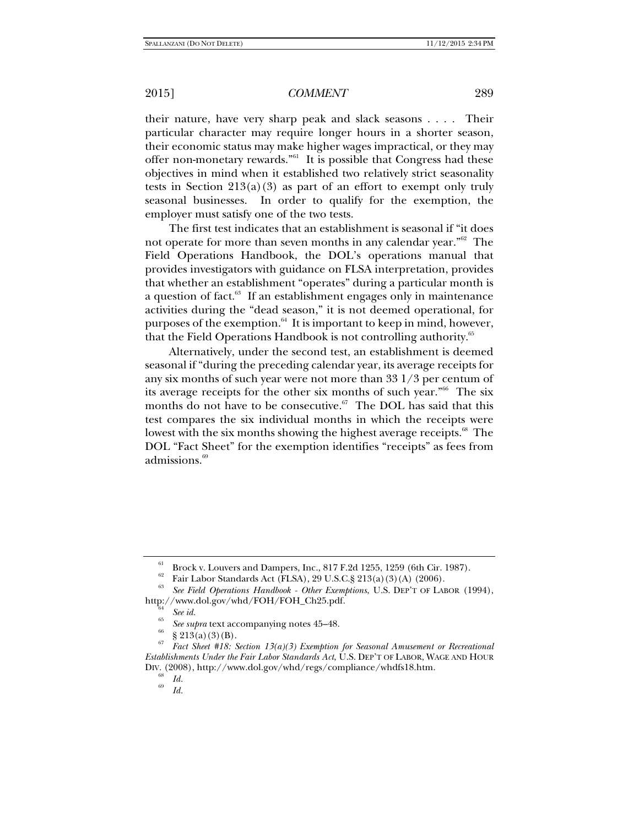their nature, have very sharp peak and slack seasons . . . . Their particular character may require longer hours in a shorter season, their economic status may make higher wages impractical, or they may offer non-monetary rewards."61 It is possible that Congress had these objectives in mind when it established two relatively strict seasonality tests in Section  $213(a)(3)$  as part of an effort to exempt only truly seasonal businesses. In order to qualify for the exemption, the employer must satisfy one of the two tests.

The first test indicates that an establishment is seasonal if "it does not operate for more than seven months in any calendar year."<sup>62</sup> The Field Operations Handbook, the DOL's operations manual that provides investigators with guidance on FLSA interpretation, provides that whether an establishment "operates" during a particular month is a question of fact.<sup>63</sup> If an establishment engages only in maintenance activities during the "dead season," it is not deemed operational, for purposes of the exemption. $64$  It is important to keep in mind, however, that the Field Operations Handbook is not controlling authority.<sup>65</sup>

Alternatively, under the second test, an establishment is deemed seasonal if "during the preceding calendar year, its average receipts for any six months of such year were not more than 33 1/3 per centum of its average receipts for the other six months of such year."66 The six months do not have to be consecutive. $67$  The DOL has said that this test compares the six individual months in which the receipts were lowest with the six months showing the highest average receipts.<sup>68</sup> The DOL "Fact Sheet" for the exemption identifies "receipts" as fees from admissions.<sup>69</sup>

<sup>61</sup> Brock v. Louvers and Dampers, Inc., 817 F.2d 1255, 1259 (6th Cir. 1987).

<sup>62</sup> Fair Labor Standards Act (FLSA), 29 U.S.C.§ 213(a)(3)(A) (2006).

<sup>63</sup> *See Field Operations Handbook - Other Exemptions*, U.S. DEP'T OF LABOR (1994), http://www.dol.gov/whd/FOH/FOH\_Ch25.pdf.<br><sup>65</sup><br><sup>65</sup>

<sup>&</sup>lt;sup>65</sup> *See supra* text accompanying notes 45–48.<br>
§ 213(a)(3)(B).

<sup>67</sup> *Fact Sheet #18: Section 13(a)(3) Exemption for Seasonal Amusement or Recreational Establishments Under the Fair Labor Standards Act*, U.S. DEP'T OF LABOR, WAGE AND HOUR DIV. (2008), http://www.dol.gov/whd/regs/compliance/whdfs18.htm.

 $\frac{6}{69}$  *Id.* 

*Id.*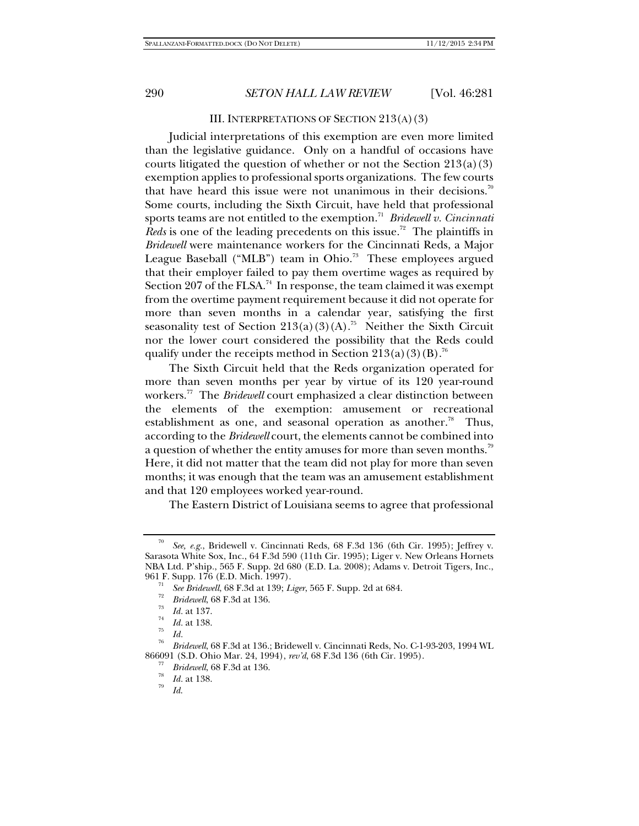#### III. INTERPRETATIONS OF SECTION 213(A)(3)

Judicial interpretations of this exemption are even more limited than the legislative guidance. Only on a handful of occasions have courts litigated the question of whether or not the Section  $213(a)(3)$ exemption applies to professional sports organizations. The few courts that have heard this issue were not unanimous in their decisions.<sup>70</sup> Some courts, including the Sixth Circuit, have held that professional sports teams are not entitled to the exemption.<sup>71</sup> *Bridewell v. Cincinnati Reds* is one of the leading precedents on this issue.<sup>72</sup> The plaintiffs in *Bridewell* were maintenance workers for the Cincinnati Reds, a Major League Baseball ("MLB") team in Ohio.<sup>73</sup> These employees argued that their employer failed to pay them overtime wages as required by Section 207 of the FLSA.<sup>74</sup> In response, the team claimed it was exempt from the overtime payment requirement because it did not operate for more than seven months in a calendar year, satisfying the first seasonality test of Section  $213(a)(3)(A)$ .<sup>75</sup> Neither the Sixth Circuit nor the lower court considered the possibility that the Reds could qualify under the receipts method in Section  $213(a)(3)(B)$ .<sup>76</sup>

The Sixth Circuit held that the Reds organization operated for more than seven months per year by virtue of its 120 year-round workers.77 The *Bridewell* court emphasized a clear distinction between the elements of the exemption: amusement or recreational establishment as one, and seasonal operation as another.<sup>78</sup> Thus, according to the *Bridewell* court, the elements cannot be combined into a question of whether the entity amuses for more than seven months.<sup>79</sup> Here, it did not matter that the team did not play for more than seven months; it was enough that the team was an amusement establishment and that 120 employees worked year-round.

The Eastern District of Louisiana seems to agree that professional

<sup>70</sup> *See, e.g.*, Bridewell v. Cincinnati Reds, 68 F.3d 136 (6th Cir. 1995); Jeffrey v. Sarasota White Sox, Inc., 64 F.3d 590 (11th Cir. 1995); Liger v. New Orleans Hornets NBA Ltd. P'ship*.*, 565 F. Supp. 2d 680 (E.D. La. 2008); Adams v. Detroit Tigers, Inc., 961 F. Supp. 176 (E.D. Mich. 1997).

*See Bridewell*, 68 F.3d at 139; *Liger*, 565 F. Supp. 2d at 684.<br> *P*<sup>2</sup> *Bridewell*, 68 F.3d at 136.<br> *B Id.* at 137.<br> *P*<sup>4</sup> *Id.* at 138.

*Id.* at 138. 75 *Id.* 76 *Bridewell*, 68 F.3d at 136.; Bridewell v. Cincinnati Reds, No. C-1-93-203, 1994 WL 866091 (S.D. Ohio Mar. 24, 1994), *rev'd*, 68 F.3d 136 (6th Cir. 1995). 77

*FR Bridewell*, 68 F.3d at 136.<br> *Id.* at 138.

*Id*.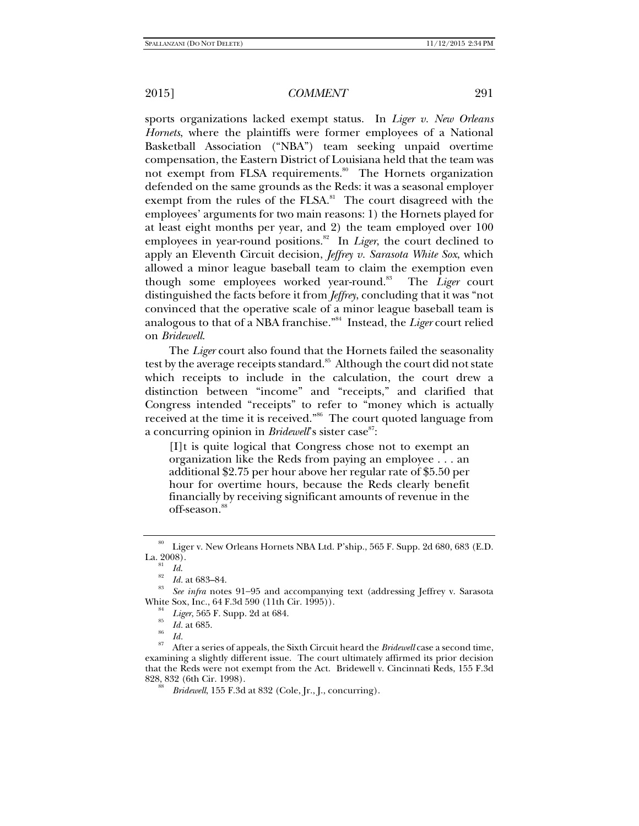sports organizations lacked exempt status. In *Liger v. New Orleans Hornets*, where the plaintiffs were former employees of a National Basketball Association ("NBA") team seeking unpaid overtime compensation, the Eastern District of Louisiana held that the team was not exempt from FLSA requirements.<sup>80</sup> The Hornets organization defended on the same grounds as the Reds: it was a seasonal employer exempt from the rules of the FLSA. $81$  The court disagreed with the employees' arguments for two main reasons: 1) the Hornets played for at least eight months per year, and 2) the team employed over 100 employees in year-round positions.<sup>82</sup> In *Liger*, the court declined to apply an Eleventh Circuit decision, *Jeffrey v. Sarasota White Sox*, which allowed a minor league baseball team to claim the exemption even though some employees worked year-round.<sup>83</sup> The *Liger* court distinguished the facts before it from *Jeffrey*, concluding that it was "not convinced that the operative scale of a minor league baseball team is analogous to that of a NBA franchise."84 Instead, the *Liger* court relied on *Bridewell*.

The *Liger* court also found that the Hornets failed the seasonality test by the average receipts standard.<sup>85</sup> Although the court did not state which receipts to include in the calculation, the court drew a distinction between "income" and "receipts," and clarified that Congress intended "receipts" to refer to "money which is actually received at the time it is received."86 The court quoted language from a concurring opinion in *Bridewell*'s sister case<sup>87</sup>:

[I]t is quite logical that Congress chose not to exempt an organization like the Reds from paying an employee . . . an additional \$2.75 per hour above her regular rate of \$5.50 per hour for overtime hours, because the Reds clearly benefit financially by receiving significant amounts of revenue in the off-season.<sup>88</sup>

 $^{80}\,$  Liger v. New Orleans Hornets NBA Ltd. P'ship., 565 F. Supp. 2d 680, 683 (E.D. La. 2008).

 $\frac{1}{20}$  *Id.* at 683–84.

See infra notes 91-95 and accompanying text (addressing Jeffrey v. Sarasota White Sox, Inc., 64 F.3d 590 (11th Cir. 1995)).<br><sup>84</sup> *Liger*, 565 F. Supp. 2d at 684.

<sup>&</sup>lt;sup>85</sup> *Id.* at 685.<br><sup>86</sup> *Id.* at 685.<br><sup>87</sup> After a series of appeals, the Sixth Circuit heard the *Bridewell* case a second time, examining a slightly different issue. The court ultimately affirmed its prior decision that the Reds were not exempt from the Act. Bridewell v. Cincinnati Reds, 155 F.3d 828, 832 (6th Cir. 1998).

*Bridewell*, 155 F.3d at 832 (Cole, Jr., J., concurring).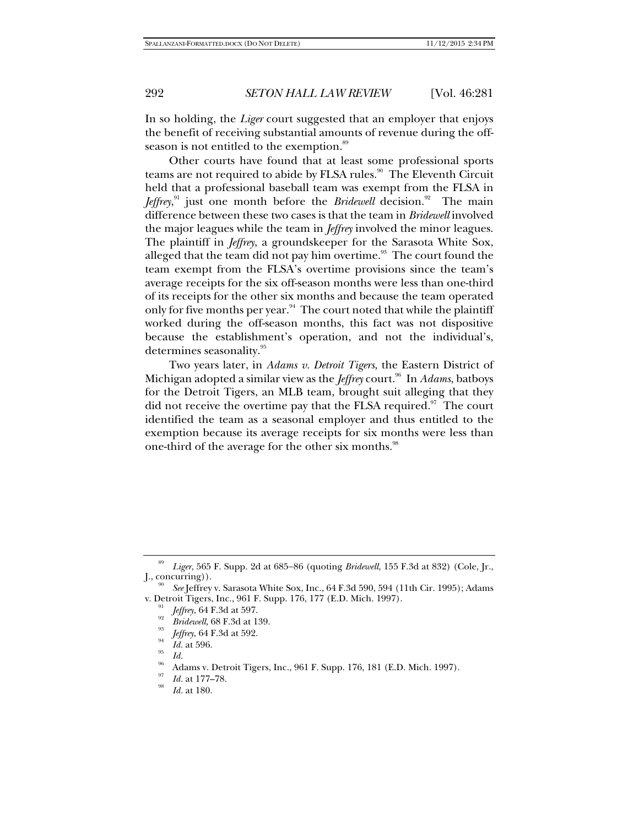In so holding, the *Liger* court suggested that an employer that enjoys the benefit of receiving substantial amounts of revenue during the offseason is not entitled to the exemption.<sup>89</sup>

Other courts have found that at least some professional sports teams are not required to abide by FLSA rules.<sup>90</sup> The Eleventh Circuit held that a professional baseball team was exempt from the FLSA in Jeffrey,<sup>91</sup> just one month before the *Bridewell* decision.<sup>92</sup> The main difference between these two cases is that the team in *Bridewell* involved the major leagues while the team in *Jeffrey* involved the minor leagues. The plaintiff in *Jeffrey*, a groundskeeper for the Sarasota White Sox, alleged that the team did not pay him overtime.<sup>93</sup> The court found the team exempt from the FLSA's overtime provisions since the team's average receipts for the six off-season months were less than one-third of its receipts for the other six months and because the team operated only for five months per year.<sup>94</sup> The court noted that while the plaintiff worked during the off-season months, this fact was not dispositive because the establishment's operation, and not the individual's, determines seasonality.<sup>95</sup>

Two years later, in *Adams v. Detroit Tigers*, the Eastern District of Michigan adopted a similar view as the *Jeffrey* court.<sup>96</sup> In *Adams*, batboys for the Detroit Tigers, an MLB team, brought suit alleging that they did not receive the overtime pay that the FLSA required. $\mathfrak{I}$  The court identified the team as a seasonal employer and thus entitled to the exemption because its average receipts for six months were less than one-third of the average for the other six months.<sup>98</sup>

<sup>89</sup> Liger, 565 F. Supp. 2d at 685-86 (quoting *Bridewell*, 155 F.3d at 832) (Cole, Jr.,  $[., concurring)$ ).

*See* Jeffrey v. Sarasota White Sox, Inc., 64 F.3d 590, 594 (11th Cir. 1995); Adams v. Detroit Tigers, Inc., 961 F. Supp. 176, 177 (E.D. Mich. 1997).

*Jeffrey*, 64 F.3d at 597.<br>*Bridewell*, 68 F.3d at 139.<br><sup>93</sup> *Jeffrey*, 64 F.3d at 592.<br>*Id.* at 596.

*Id.* **Adams v. Detroit Tigers, Inc., 961 F. Supp. 176, 181 (E.D. Mich. 1997).** 

Id. at 177-78.

*Id.* at 180.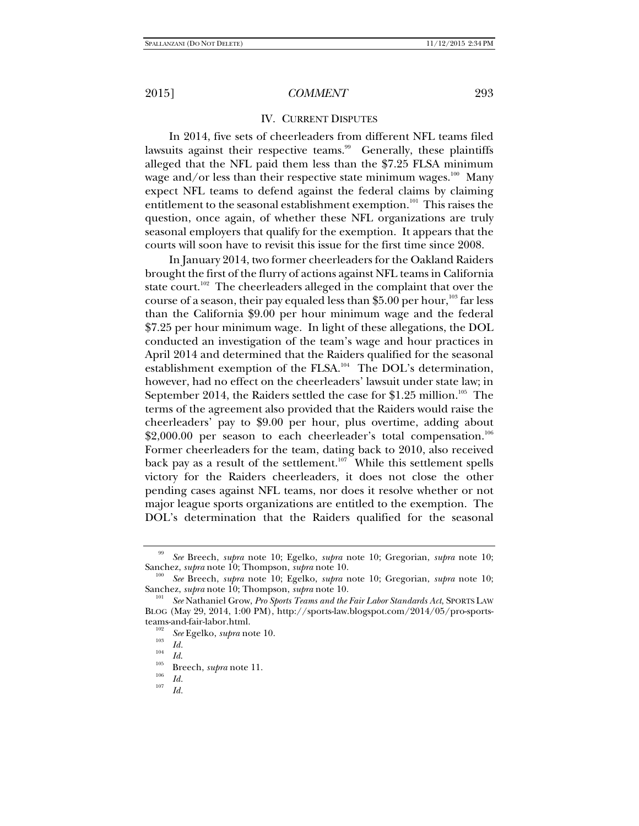#### IV. CURRENT DISPUTES

In 2014, five sets of cheerleaders from different NFL teams filed lawsuits against their respective teams.<sup>99</sup> Generally, these plaintiffs alleged that the NFL paid them less than the \$7.25 FLSA minimum wage and/or less than their respective state minimum wages. $100$  Many expect NFL teams to defend against the federal claims by claiming entitlement to the seasonal establishment exemption.<sup>101</sup> This raises the question, once again, of whether these NFL organizations are truly seasonal employers that qualify for the exemption. It appears that the courts will soon have to revisit this issue for the first time since 2008.

In January 2014, two former cheerleaders for the Oakland Raiders brought the first of the flurry of actions against NFL teams in California state court.<sup>102</sup> The cheerleaders alleged in the complaint that over the course of a season, their pay equaled less than \$5.00 per hour,<sup>103</sup> far less than the California \$9.00 per hour minimum wage and the federal \$7.25 per hour minimum wage. In light of these allegations, the DOL conducted an investigation of the team's wage and hour practices in April 2014 and determined that the Raiders qualified for the seasonal establishment exemption of the FLSA.<sup>104</sup> The DOL's determination, however, had no effect on the cheerleaders' lawsuit under state law; in September 2014, the Raiders settled the case for \$1.25 million.<sup>105</sup> The terms of the agreement also provided that the Raiders would raise the cheerleaders' pay to \$9.00 per hour, plus overtime, adding about  $$2,000.00$  per season to each cheerleader's total compensation.<sup>106</sup> Former cheerleaders for the team, dating back to 2010, also received back pay as a result of the settlement.<sup>107</sup> While this settlement spells victory for the Raiders cheerleaders, it does not close the other pending cases against NFL teams, nor does it resolve whether or not major league sports organizations are entitled to the exemption. The DOL's determination that the Raiders qualified for the seasonal

<sup>99</sup> *See* Breech, *supra* note 10; Egelko, *supra* note 10; Gregorian, *supra* note 10; Sanchez, *supra* note 10; Thompson, *supra* note 10.

*See* Breech, *supra* note 10; Egelko, *supra* note 10; Gregorian, *supra* note 10; Sanchez, *supra* note 10; Thompson, *supra* note 10.

*See* Nathaniel Grow, *Pro Sports Teams and the Fair Labor Standards Act*, SPORTS LAW BLOG (May 29, 2014, 1:00 PM), http://sports-law.blogspot.com/2014/05/pro-sportsteams-and-fair-labor.html.<br><sup>102</sup> *See* Egelko, *supra* note 10.<br>*103 Id.* 

<sup>&</sup>lt;sup>104</sup> *Id.* **Breech**, *supra* note 11. <br><sup>106</sup> *Id. Id.* 

*Id.*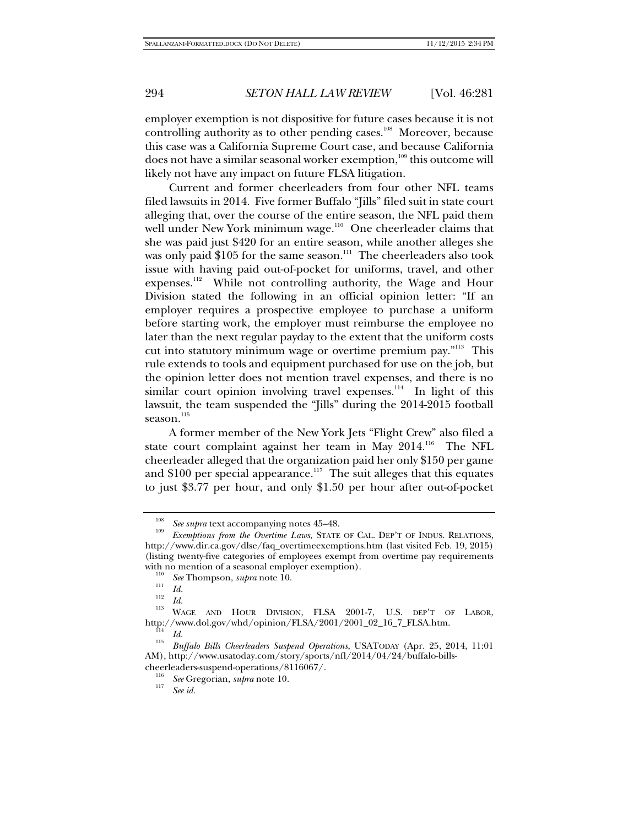employer exemption is not dispositive for future cases because it is not controlling authority as to other pending cases.<sup>108</sup> Moreover, because this case was a California Supreme Court case, and because California does not have a similar seasonal worker exemption,<sup>109</sup> this outcome will likely not have any impact on future FLSA litigation.

Current and former cheerleaders from four other NFL teams filed lawsuits in 2014. Five former Buffalo "Jills" filed suit in state court alleging that, over the course of the entire season, the NFL paid them well under New York minimum wage.<sup>110</sup> One cheerleader claims that she was paid just \$420 for an entire season, while another alleges she was only paid  $$105$  for the same season.<sup>111</sup> The cheerleaders also took issue with having paid out-of-pocket for uniforms, travel, and other expenses.<sup>112</sup> While not controlling authority, the Wage and Hour Division stated the following in an official opinion letter: "If an employer requires a prospective employee to purchase a uniform before starting work, the employer must reimburse the employee no later than the next regular payday to the extent that the uniform costs cut into statutory minimum wage or overtime premium pay."<sup>113</sup> This rule extends to tools and equipment purchased for use on the job, but the opinion letter does not mention travel expenses, and there is no similar court opinion involving travel expenses.<sup>114</sup> In light of this lawsuit, the team suspended the "Jills" during the 2014-2015 football season.<sup>115</sup>

A former member of the New York Jets "Flight Crew" also filed a state court complaint against her team in May 2014.<sup>116</sup> The NFL cheerleader alleged that the organization paid her only \$150 per game and  $$100$  per special appearance.<sup>117</sup> The suit alleges that this equates to just \$3.77 per hour, and only \$1.50 per hour after out-of-pocket

<sup>108</sup>

*See supra* text accompanying notes 45–48.<br>*Exemptions from the Overtime Laws*, STATE OF CAL. DEP'T OF INDUS. RELATIONS, http://www.dir.ca.gov/dlse/faq\_overtimeexemptions.htm (last visited Feb. 19, 2015) (listing twenty-five categories of employees exempt from overtime pay requirements with no mention of a seasonal employer exemption).<br><sup>110</sup> *See* Thompson, *supra* note 10.

 $\frac{111}{112}$  *Id.* 

<sup>&</sup>lt;sup>113</sup> WAGE AND HOUR DIVISION, FLSA 2001-7, U.S. DEP'T OF LABOR, http://www.dol.gov/whd/opinion/FLSA/2001/2001\_02\_16\_7\_FLSA.htm. 114 *Id.* 115 *Buffalo Bills Cheerleaders Suspend Operations*, USATODAY (Apr. 25, 2014, 11:01

AM), http://www.usatoday.com/story/sports/nfl/2014/04/24/buffalo-bills-

cheerleaders-suspend-operations/8116067/.<br><sup>116</sup> *See* Gregorian, *supra* note 10.

*See id.*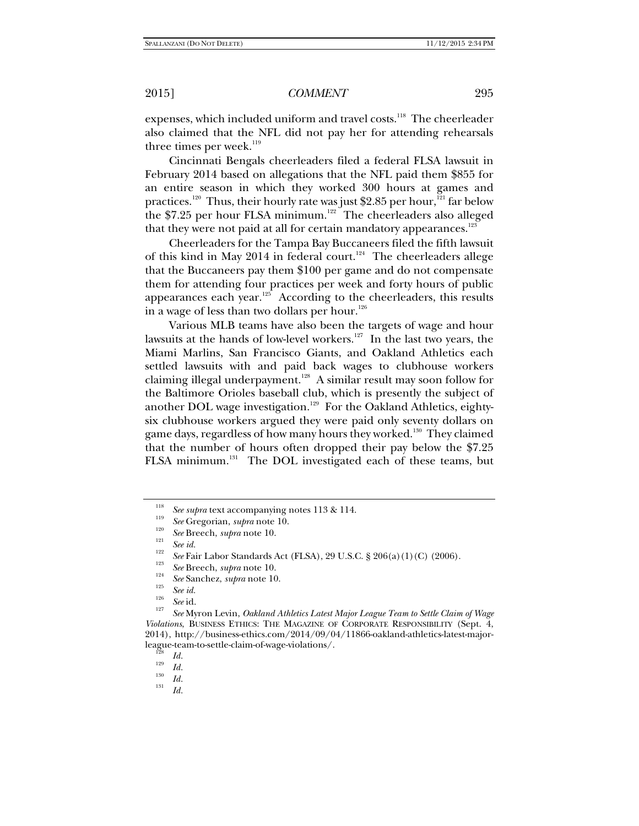expenses, which included uniform and travel costs.<sup>118</sup> The cheerleader also claimed that the NFL did not pay her for attending rehearsals three times per week. $119$ 

Cincinnati Bengals cheerleaders filed a federal FLSA lawsuit in February 2014 based on allegations that the NFL paid them \$855 for an entire season in which they worked 300 hours at games and practices.<sup>120</sup> Thus, their hourly rate was just \$2.85 per hour,<sup>121</sup> far below the \$7.25 per hour FLSA minimum.<sup>122</sup> The cheerleaders also alleged that they were not paid at all for certain mandatory appearances. $123$ 

Cheerleaders for the Tampa Bay Buccaneers filed the fifth lawsuit of this kind in May 2014 in federal court.<sup>124</sup> The cheerleaders allege that the Buccaneers pay them \$100 per game and do not compensate them for attending four practices per week and forty hours of public appearances each year.<sup>125</sup> According to the cheerleaders, this results in a wage of less than two dollars per hour.<sup>126</sup>

Various MLB teams have also been the targets of wage and hour lawsuits at the hands of low-level workers.<sup>127</sup> In the last two years, the Miami Marlins, San Francisco Giants, and Oakland Athletics each settled lawsuits with and paid back wages to clubhouse workers claiming illegal underpayment.<sup>128</sup> A similar result may soon follow for the Baltimore Orioles baseball club, which is presently the subject of another DOL wage investigation.<sup>129</sup> For the Oakland Athletics, eightysix clubhouse workers argued they were paid only seventy dollars on game days, regardless of how many hours they worked.<sup>130</sup> They claimed that the number of hours often dropped their pay below the \$7.25 FLSA minimum.<sup>131</sup> The DOL investigated each of these teams, but

<sup>&</sup>lt;sup>118</sup> See supra text accompanying notes 113 & 114.

<sup>&</sup>lt;sup>113</sup> *See* Gregorian, *supra* note 10.

<sup>&</sup>lt;sup>120</sup> *See* Breech, *supra* note 10.<br><sup>121</sup> *See id.*<sup>122</sup>

<sup>&</sup>lt;sup>122</sup> *See* Fair Labor Standards Act (FLSA), 29 U.S.C. § 206(a)(1)(C) (2006).<br><sup>123</sup> *See* Breech, *supra* note 10. <sup>124</sup>

<sup>&</sup>lt;sup>124</sup> *See* Sanchez, *supra* note 10.<br><sup>125</sup> *See id. See id.* 125<sup>*See id.* 127</sup>

*See* Myron Levin, *Oakland Athletics Latest Major League Team to Settle Claim of Wage Violations*, BUSINESS ETHICS: THE MAGAZINE OF CORPORATE RESPONSIBILITY (Sept. 4, 2014), http://business-ethics.com/2014/09/04/11866-oakland-athletics-latest-majorleague-team-to-settle-claim-of-wage-violations/.<br><sup>128</sup> *Id.*<br>*1*<sup>29</sup> *Id.* 

 $\frac{130}{131}$  *Id.* 

*Id.*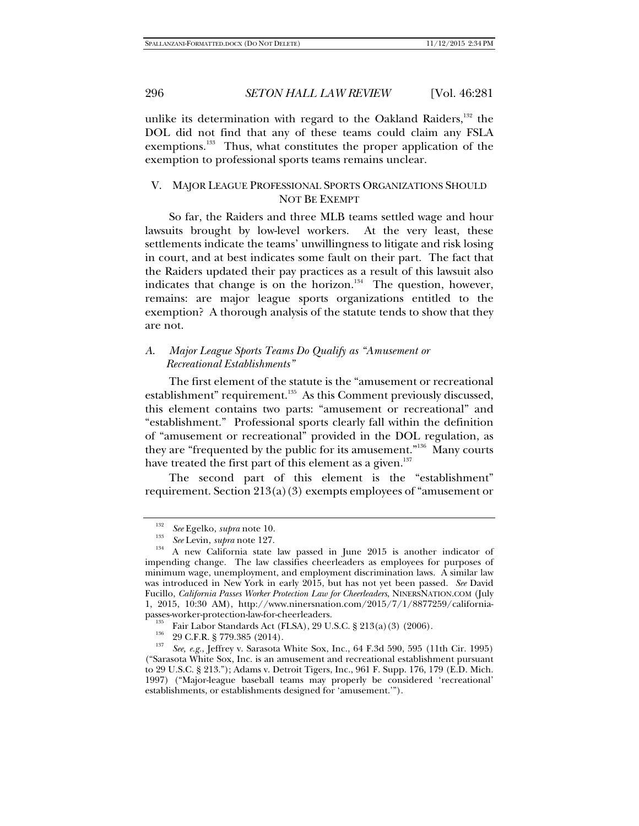unlike its determination with regard to the Oakland Raiders,  $132$  the DOL did not find that any of these teams could claim any FSLA exemptions.<sup>133</sup> Thus, what constitutes the proper application of the exemption to professional sports teams remains unclear.

## V. MAJOR LEAGUE PROFESSIONAL SPORTS ORGANIZATIONS SHOULD NOT BE EXEMPT

So far, the Raiders and three MLB teams settled wage and hour lawsuits brought by low-level workers. At the very least, these settlements indicate the teams' unwillingness to litigate and risk losing in court, and at best indicates some fault on their part. The fact that the Raiders updated their pay practices as a result of this lawsuit also indicates that change is on the horizon.<sup>134</sup> The question, however, remains: are major league sports organizations entitled to the exemption? A thorough analysis of the statute tends to show that they are not.

## *A*. *Major League Sports Teams Do Qualify as "Amusement or Recreational Establishments"*

The first element of the statute is the "amusement or recreational establishment" requirement.<sup>135</sup> As this Comment previously discussed, this element contains two parts: "amusement or recreational" and "establishment." Professional sports clearly fall within the definition of "amusement or recreational" provided in the DOL regulation, as they are "frequented by the public for its amusement."136 Many courts have treated the first part of this element as a given.<sup>137</sup>

The second part of this element is the "establishment" requirement. Section 213(a)(3) exempts employees of "amusement or

<sup>&</sup>lt;sup>132</sup> See Egelko, *supra* note 10.<br><sup>133</sup> See Levin, *supra* note 127.

<sup>&</sup>lt;sup>134</sup> A new California state law passed in June 2015 is another indicator of impending change. The law classifies cheerleaders as employees for purposes of minimum wage, unemployment, and employment discrimination laws. A similar law was introduced in New York in early 2015, but has not yet been passed. *See* David Fucillo, *California Passes Worker Protection Law for Cheerleaders*, NINERSNATION.COM (July 1, 2015, 10:30 AM), http://www.ninersnation.com/2015/7/1/8877259/california-

<sup>&</sup>lt;sup>135</sup> Fair Labor Standards Act (FLSA), 29 U.S.C. § 213(a)(3) (2006).<br><sup>136</sup> 29 C.F.R. § 779.385 (2014).<br><sup>137</sup> *See, e.g.*, Jeffrey v. Sarasota White Sox, Inc., 64 F.3d 590, 595 (11th Cir. 1995) ("Sarasota White Sox, Inc. is an amusement and recreational establishment pursuant to 29 U.S.C. § 213."); Adams v. Detroit Tigers, Inc., 961 F. Supp. 176, 179 (E.D. Mich. 1997) ("Major-league baseball teams may properly be considered 'recreational' establishments, or establishments designed for 'amusement.'").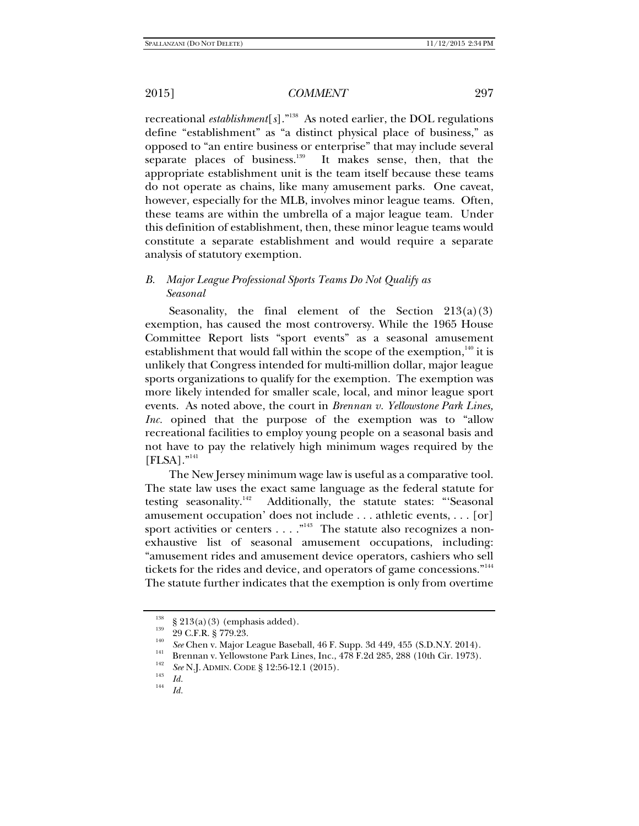recreational *establishment*[*s*]."138 As noted earlier, the DOL regulations define "establishment" as "a distinct physical place of business," as opposed to "an entire business or enterprise" that may include several separate places of business.<sup>139</sup> It makes sense, then, that the appropriate establishment unit is the team itself because these teams do not operate as chains, like many amusement parks. One caveat, however, especially for the MLB, involves minor league teams. Often, these teams are within the umbrella of a major league team. Under this definition of establishment, then, these minor league teams would constitute a separate establishment and would require a separate analysis of statutory exemption.

## *B. Major League Professional Sports Teams Do Not Qualify as Seasonal*

Seasonality, the final element of the Section  $213(a)(3)$ exemption, has caused the most controversy. While the 1965 House Committee Report lists "sport events" as a seasonal amusement establishment that would fall within the scope of the exemption,  $140$  it is unlikely that Congress intended for multi-million dollar, major league sports organizations to qualify for the exemption. The exemption was more likely intended for smaller scale, local, and minor league sport events. As noted above, the court in *Brennan v. Yellowstone Park Lines, Inc.* opined that the purpose of the exemption was to "allow recreational facilities to employ young people on a seasonal basis and not have to pay the relatively high minimum wages required by the  $[{\rm FLSA}]$ ."<sup>141</sup>

The New Jersey minimum wage law is useful as a comparative tool. The state law uses the exact same language as the federal statute for testing seasonality.<sup>142</sup> Additionally, the statute states: "'Seasonal amusement occupation' does not include . . . athletic events, . . . [or] sport activities or centers  $\dots$ ."<sup>143</sup> The statute also recognizes a nonexhaustive list of seasonal amusement occupations, including: "amusement rides and amusement device operators, cashiers who sell tickets for the rides and device, and operators of game concessions."<sup>144</sup> The statute further indicates that the exemption is only from overtime

<sup>&</sup>lt;sup>138</sup> § 213(a)(3) (emphasis added).<br><sup>139</sup> 29 C.F.R. § 779.23.<br><sup>140</sup> *See* Chen v. Major League Baseball, 46 F. Supp. 3d 449, 455 (S.D.N.Y. 2014).

<sup>&</sup>lt;sup>141</sup> Brennan v. Yellowstone Park Lines, Inc., 478 F.2d 285, 288 (10th Cir. 1973).

<sup>&</sup>lt;sup>142</sup> *See* N.J. ADMIN. CODE § 12:56-12.1 (2015).<br> *Id. Id.* 

*Id.*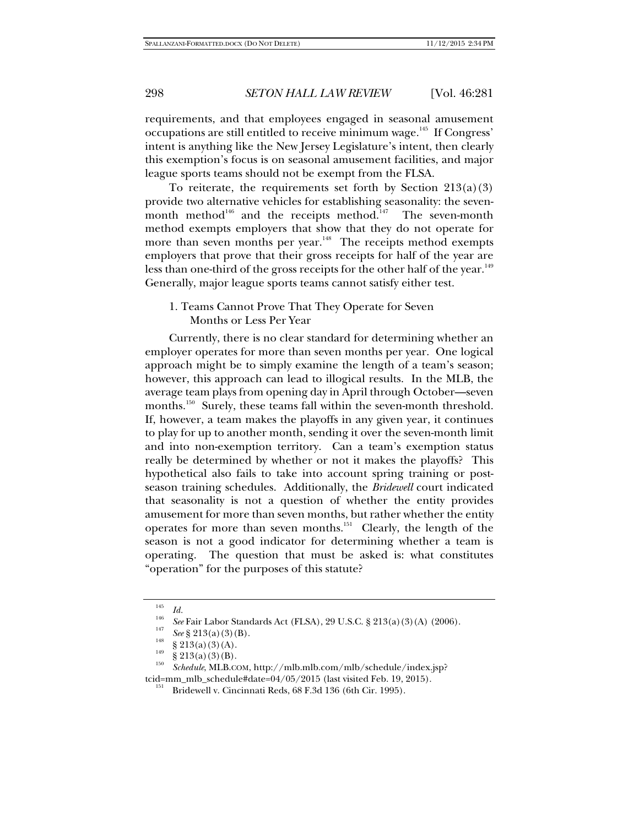requirements, and that employees engaged in seasonal amusement occupations are still entitled to receive minimum wage.<sup>145</sup> If Congress' intent is anything like the New Jersey Legislature's intent, then clearly this exemption's focus is on seasonal amusement facilities, and major league sports teams should not be exempt from the FLSA.

To reiterate, the requirements set forth by Section  $213(a)(3)$ provide two alternative vehicles for establishing seasonality: the sevenmonth method<sup>146</sup> and the receipts method.<sup>147</sup> The seven-month method exempts employers that show that they do not operate for more than seven months per year.<sup>148</sup> The receipts method exempts employers that prove that their gross receipts for half of the year are less than one-third of the gross receipts for the other half of the year.<sup>149</sup> Generally, major league sports teams cannot satisfy either test.

1. Teams Cannot Prove That They Operate for Seven Months or Less Per Year

Currently, there is no clear standard for determining whether an employer operates for more than seven months per year. One logical approach might be to simply examine the length of a team's season; however, this approach can lead to illogical results. In the MLB, the average team plays from opening day in April through October—seven months.<sup>150</sup> Surely, these teams fall within the seven-month threshold. If, however, a team makes the playoffs in any given year, it continues to play for up to another month, sending it over the seven-month limit and into non-exemption territory. Can a team's exemption status really be determined by whether or not it makes the playoffs? This hypothetical also fails to take into account spring training or postseason training schedules. Additionally, the *Bridewell* court indicated that seasonality is not a question of whether the entity provides amusement for more than seven months, but rather whether the entity operates for more than seven months.<sup>151</sup> Clearly, the length of the season is not a good indicator for determining whether a team is operating. The question that must be asked is: what constitutes "operation" for the purposes of this statute?

<sup>145</sup>

*Id. See* Fair Labor Standards Act (FLSA), 29 U.S.C. § 213(a)(3)(A) (2006).<br><sup>147</sup> *See* § 213(a)(3)(B). <br>§ 213(a)(3)(A). <br>§ 213(a)(3)(B). 150 § 213(a)(3)(B).

*Schedule*, MLB.COM, http://mlb.mlb.com/mlb/schedule/index.jsp? tcid=mm\_mlb\_schedule#date=04/05/2015 (last visited Feb. 19, 2015). 151 Bridewell v. Cincinnati Reds, 68 F.3d 136 (6th Cir. 1995).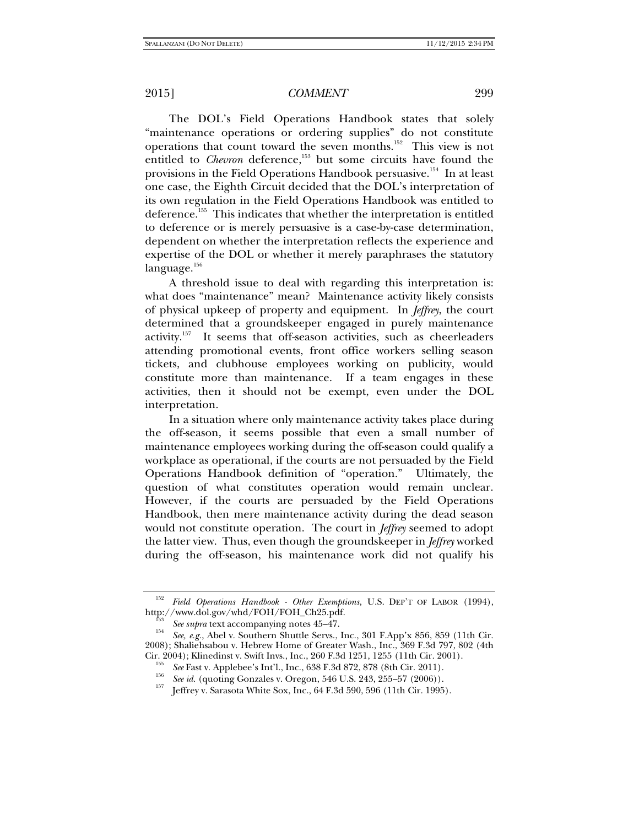The DOL's Field Operations Handbook states that solely "maintenance operations or ordering supplies" do not constitute operations that count toward the seven months.152 This view is not entitled to *Chevron* deference,<sup>153</sup> but some circuits have found the provisions in the Field Operations Handbook persuasive.<sup>154</sup> In at least one case, the Eighth Circuit decided that the DOL's interpretation of its own regulation in the Field Operations Handbook was entitled to deference.<sup>155</sup> This indicates that whether the interpretation is entitled to deference or is merely persuasive is a case-by-case determination, dependent on whether the interpretation reflects the experience and expertise of the DOL or whether it merely paraphrases the statutory language.<sup>156</sup>

A threshold issue to deal with regarding this interpretation is: what does "maintenance" mean? Maintenance activity likely consists of physical upkeep of property and equipment. In *Jeffrey*, the court determined that a groundskeeper engaged in purely maintenance activity.157 It seems that off-season activities, such as cheerleaders attending promotional events, front office workers selling season tickets, and clubhouse employees working on publicity, would constitute more than maintenance. If a team engages in these activities, then it should not be exempt, even under the DOL interpretation.

In a situation where only maintenance activity takes place during the off-season, it seems possible that even a small number of maintenance employees working during the off-season could qualify a workplace as operational, if the courts are not persuaded by the Field Operations Handbook definition of "operation." Ultimately, the question of what constitutes operation would remain unclear. However, if the courts are persuaded by the Field Operations Handbook, then mere maintenance activity during the dead season would not constitute operation. The court in *Jeffrey* seemed to adopt the latter view. Thus, even though the groundskeeper in *Jeffrey* worked during the off-season, his maintenance work did not qualify his

<sup>152</sup> *Field Operations Handbook - Other Exemptions*, U.S. DEP'T OF LABOR (1994), http://www.dol.gov/whd/FOH/FOH\_Ch25.pdf.

 $See$  *supra* text accompanying notes 45–47.

*See, e.g.*, Abel v. Southern Shuttle Servs., Inc., 301 F.App'x 856, 859 (11th Cir. 2008); Shaliehsabou v. Hebrew Home of Greater Wash., Inc., 369 F.3d 797, 802 (4th Cir. 2004); Klinedinst v. Swift Invs., Inc., 260 F.3d 1251, 1255 (11th Cir. 2001).<br><sup>155</sup> See Fast v. Applebee's Int'l., Inc., 638 F.3d 872, 878 (8th Cir. 2011).

See id. (quoting Gonzales v. Oregon, 546 U.S. 243, 255–57 (2006)).<br>
[effrey v. Sarasota White Sox, Inc., 64 F.3d 590, 596 (11th Cir. 1995).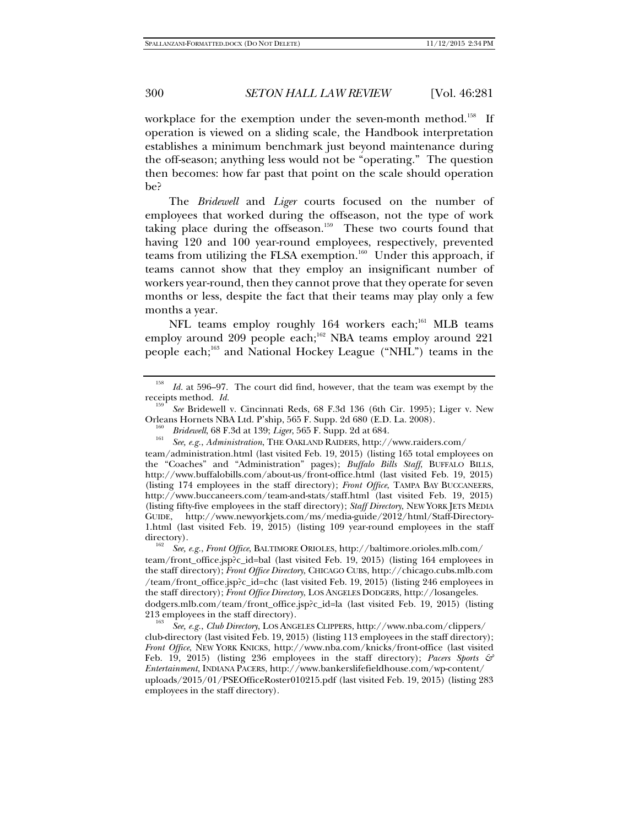workplace for the exemption under the seven-month method.<sup>158</sup> If operation is viewed on a sliding scale, the Handbook interpretation establishes a minimum benchmark just beyond maintenance during the off-season; anything less would not be "operating." The question then becomes: how far past that point on the scale should operation be?

The *Bridewell* and *Liger* courts focused on the number of employees that worked during the offseason, not the type of work taking place during the offseason.<sup>159</sup> These two courts found that having 120 and 100 year-round employees, respectively, prevented teams from utilizing the FLSA exemption.<sup>160</sup> Under this approach, if teams cannot show that they employ an insignificant number of workers year-round, then they cannot prove that they operate for seven months or less, despite the fact that their teams may play only a few months a year.

NFL teams employ roughly 164 workers each;<sup>161</sup> MLB teams employ around 209 people each;<sup>162</sup> NBA teams employ around 221 people each;<sup>163</sup> and National Hockey League ("NHL") teams in the

 *See* Bridewell v. Cincinnati Reds, 68 F.3d 136 (6th Cir. 1995); Liger v. New Orleans Hornets NBA Ltd. P'ship, 565 F. Supp. 2d 680 (E.D. La. 2008).

*See, e.g.*, *Administration*, THE OAKLAND RAIDERS, http://www.raiders.com/

team/administration.html (last visited Feb. 19, 2015) (listing 165 total employees on the "Coaches" and "Administration" pages); *Buffalo Bills Staff*, BUFFALO BILLS, http://www.buffalobills.com/about-us/front-office.html (last visited Feb. 19, 2015) (listing 174 employees in the staff directory); *Front Office*, TAMPA BAY BUCCANEERS, http://www.buccaneers.com/team-and-stats/staff.html (last visited Feb. 19, 2015) (listing fifty-five employees in the staff directory); *Staff Directory*, NEW YORK JETS MEDIA GUIDE, http://www.newyorkjets.com/ms/media-guide/2012/html/Staff-Directory-1.html (last visited Feb. 19, 2015) (listing 109 year-round employees in the staff directory).

 *See, e.g.*, *Front Office*, BALTIMORE ORIOLES, http://baltimore.orioles.mlb.com/ team/front\_office.jsp?c\_id=bal (last visited Feb. 19, 2015) (listing 164 employees in the staff directory); *Front Office Directory*, CHICAGO CUBS, http://chicago.cubs.mlb.com /team/front\_office.jsp?c\_id=chc (last visited Feb. 19, 2015) (listing 246 employees in the staff directory); *Front Office Directory*, LOS ANGELES DODGERS, http://losangeles. dodgers.mlb.com/team/front\_office.jsp?c\_id=la (last visited Feb. 19, 2015) (listing 213 employees in the staff directory).

 *See, e.g.*, *Club Directory*, LOS ANGELES CLIPPERS, http://www.nba.com/clippers/ club-directory (last visited Feb. 19, 2015) (listing 113 employees in the staff directory); *Front Office*, NEW YORK KNICKS, http://www.nba.com/knicks/front-office (last visited Feb. 19, 2015) (listing 236 employees in the staff directory); *Pacers Sports & Entertainment*, INDIANA PACERS, http://www.bankerslifefieldhouse.com/wp-content/ uploads/2015/01/PSEOfficeRoster010215.pdf (last visited Feb. 19, 2015) (listing 283 employees in the staff directory).

<sup>158</sup> *Id.* at 596–97. The court did find, however, that the team was exempt by the receipts method. *Id.* 

<sup>&</sup>lt;sup>160</sup> *Bridewell*, 68 F.3d at 139; *Liger*, 565 F. Supp. 2d at 684.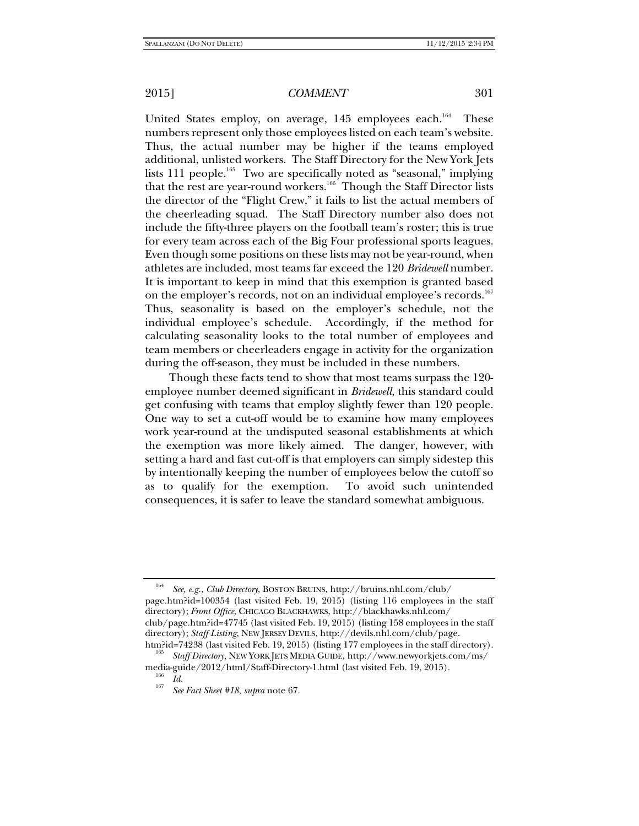United States employ, on average,  $145$  employees each.<sup>164</sup> These numbers represent only those employees listed on each team's website. Thus, the actual number may be higher if the teams employed additional, unlisted workers. The Staff Directory for the New York Jets lists 111 people.<sup>165</sup> Two are specifically noted as "seasonal," implying that the rest are year-round workers.<sup>166</sup> Though the Staff Director lists the director of the "Flight Crew," it fails to list the actual members of the cheerleading squad. The Staff Directory number also does not include the fifty-three players on the football team's roster; this is true for every team across each of the Big Four professional sports leagues. Even though some positions on these lists may not be year-round, when athletes are included, most teams far exceed the 120 *Bridewell* number. It is important to keep in mind that this exemption is granted based on the employer's records, not on an individual employee's records.<sup>167</sup> Thus, seasonality is based on the employer's schedule, not the individual employee's schedule. Accordingly, if the method for calculating seasonality looks to the total number of employees and team members or cheerleaders engage in activity for the organization during the off-season, they must be included in these numbers.

Though these facts tend to show that most teams surpass the 120 employee number deemed significant in *Bridewell*, this standard could get confusing with teams that employ slightly fewer than 120 people. One way to set a cut-off would be to examine how many employees work year-round at the undisputed seasonal establishments at which the exemption was more likely aimed. The danger, however, with setting a hard and fast cut-off is that employers can simply sidestep this by intentionally keeping the number of employees below the cutoff so as to qualify for the exemption. To avoid such unintended consequences, it is safer to leave the standard somewhat ambiguous.

<sup>164</sup> *See, e.g.*, *Club Directory*, BOSTON BRUINS, http://bruins.nhl.com/club/ page.htm?id=100354 (last visited Feb. 19, 2015) (listing 116 employees in the staff directory); *Front Office*, CHICAGO BLACKHAWKS, http://blackhawks.nhl.com/ club/page.htm?id=47745 (last visited Feb. 19, 2015) (listing 158 employees in the staff directory); *Staff Listing*, NEW JERSEY DEVILS, http://devils.nhl.com/club/page.

htm?id=74238 (last visited Feb. 19, 2015) (listing 177 employees in the staff directory). 165 *Staff Directory*, NEW YORK JETS MEDIA GUIDE, http://www.newyorkjets.com/ms/ media-guide/2012/html/Staff-Directory-1.html (last visited Feb. 19, 2015). 166 *Id.* <sup>167</sup>

*See Fact Sheet #18*, *supra* note 67.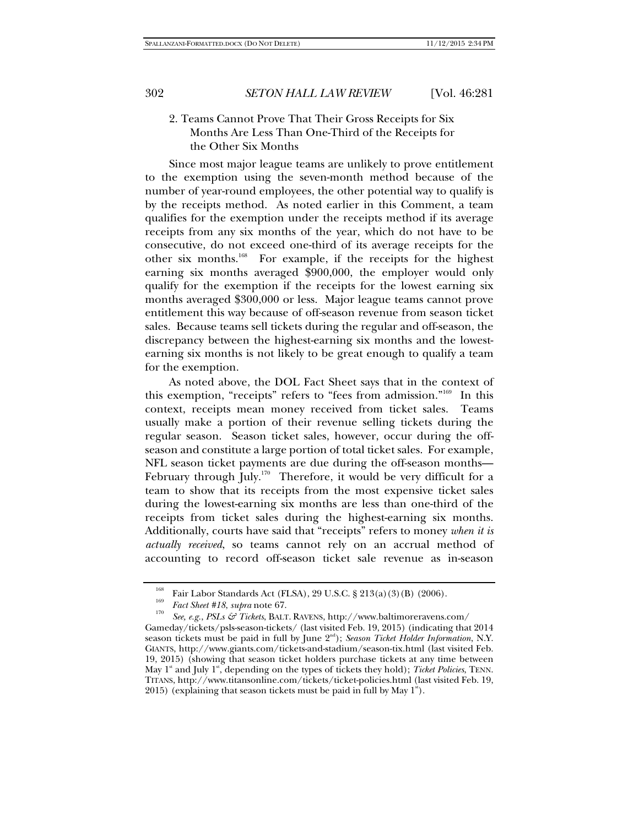## 2. Teams Cannot Prove That Their Gross Receipts for Six Months Are Less Than One-Third of the Receipts for the Other Six Months

Since most major league teams are unlikely to prove entitlement to the exemption using the seven-month method because of the number of year-round employees, the other potential way to qualify is by the receipts method. As noted earlier in this Comment, a team qualifies for the exemption under the receipts method if its average receipts from any six months of the year, which do not have to be consecutive, do not exceed one-third of its average receipts for the other six months.168 For example, if the receipts for the highest earning six months averaged \$900,000, the employer would only qualify for the exemption if the receipts for the lowest earning six months averaged \$300,000 or less. Major league teams cannot prove entitlement this way because of off-season revenue from season ticket sales. Because teams sell tickets during the regular and off-season, the discrepancy between the highest-earning six months and the lowestearning six months is not likely to be great enough to qualify a team for the exemption.

As noted above, the DOL Fact Sheet says that in the context of this exemption, "receipts" refers to "fees from admission."169 In this context, receipts mean money received from ticket sales. Teams usually make a portion of their revenue selling tickets during the regular season. Season ticket sales, however, occur during the offseason and constitute a large portion of total ticket sales. For example, NFL season ticket payments are due during the off-season months— February through July.<sup>170</sup> Therefore, it would be very difficult for a team to show that its receipts from the most expensive ticket sales during the lowest-earning six months are less than one-third of the receipts from ticket sales during the highest-earning six months. Additionally, courts have said that "receipts" refers to money *when it is actually received*, so teams cannot rely on an accrual method of accounting to record off-season ticket sale revenue as in-season

<sup>&</sup>lt;sup>168</sup> Fair Labor Standards Act (FLSA), 29 U.S.C. § 213(a)(3)(B) (2006).<br> *Fact Sheet #18*, *supra* note 67.

*See, e.g.*, *PSLs & Tickets*, BALT. RAVENS, http://www.baltimoreravens.com/

Gameday/tickets/psls-season-tickets/ (last visited Feb. 19, 2015) (indicating that 2014 season tickets must be paid in full by June 2<sup>nd</sup>); *Season Ticket Holder Information*, N.Y. GIANTS, http://www.giants.com/tickets-and-stadium/season-tix.html (last visited Feb. 19, 2015) (showing that season ticket holders purchase tickets at any time between May 1<sup>st</sup> and July 1<sup>st</sup>, depending on the types of tickets they hold); *Ticket Policies*, TENN. TITANS, http://www.titansonline.com/tickets/ticket-policies.html (last visited Feb. 19, 2015) (explaining that season tickets must be paid in full by May  $1^{\circ}$ ).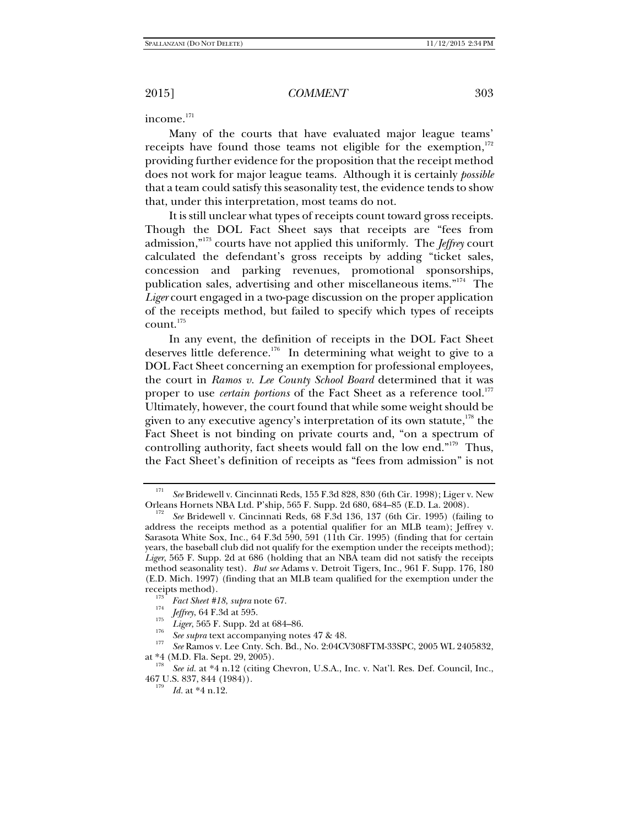income.<sup>171</sup>

Many of the courts that have evaluated major league teams' receipts have found those teams not eligible for the exemption, $172$ providing further evidence for the proposition that the receipt method does not work for major league teams. Although it is certainly *possible* that a team could satisfy this seasonality test, the evidence tends to show that, under this interpretation, most teams do not.

It is still unclear what types of receipts count toward gross receipts. Though the DOL Fact Sheet says that receipts are "fees from admission,"173 courts have not applied this uniformly. The *Jeffrey* court calculated the defendant's gross receipts by adding "ticket sales, concession and parking revenues, promotional sponsorships, publication sales, advertising and other miscellaneous items."174 The *Liger* court engaged in a two-page discussion on the proper application of the receipts method, but failed to specify which types of receipts count.175

In any event, the definition of receipts in the DOL Fact Sheet deserves little deference.<sup>176</sup> In determining what weight to give to a DOL Fact Sheet concerning an exemption for professional employees, the court in *Ramos v. Lee County School Board* determined that it was proper to use *certain portions* of the Fact Sheet as a reference tool.<sup>177</sup> Ultimately, however, the court found that while some weight should be given to any executive agency's interpretation of its own statute, $178$  the Fact Sheet is not binding on private courts and, "on a spectrum of controlling authority, fact sheets would fall on the low end."<sup>179</sup> Thus, the Fact Sheet's definition of receipts as "fees from admission" is not

<sup>171</sup> <sup>171</sup> See Bridewell v. Cincinnati Reds, 155 F.3d 828, 830 (6th Cir. 1998); Liger v. New Orleans Hornets NBA Ltd. P'ship, 565 F. Supp. 2d 680, 684–85 (E.D. La. 2008).

See Bridewell v. Cincinnati Reds, 68 F.3d 136, 137 (6th Cir. 1995) (failing to address the receipts method as a potential qualifier for an MLB team); Jeffrey v. Sarasota White Sox, Inc., 64 F.3d 590, 591 (11th Cir. 1995) (finding that for certain years, the baseball club did not qualify for the exemption under the receipts method); *Liger*, 565 F. Supp. 2d at 686 (holding that an NBA team did not satisfy the receipts method seasonality test). *But see* Adams v. Detroit Tigers, Inc., 961 F. Supp. 176, 180 (E.D. Mich. 1997) (finding that an MLB team qualified for the exemption under the

<sup>&</sup>lt;sup>173</sup> Fact Sheet #18, supra note 67.

*Fact Sheet Breed Area Sheet Area Jeffrey*, 64 F.3d at 595.

<sup>&</sup>lt;sup>175</sup> *Liger*, 565 F. Supp. 2d at 684–86.<br><sup>176</sup> *See supra* text accompanying notes 47 & 48.

<sup>&</sup>lt;sup>177</sup> *See* Ramos v. Lee Cnty. Sch. Bd., No. 2:04CV308FTM-33SPC, 2005 WL 2405832, at \*4 (M.D. Fla. Sept. 29, 2005). 178 *See id.* at \*4 n.12 (citing Chevron, U.S.A., Inc. v. Nat'l. Res. Def. Council, Inc.,

<sup>467</sup> U.S. 837, 844 (1984)). 179

 $^{179}$  *Id.* at \*4 n.12.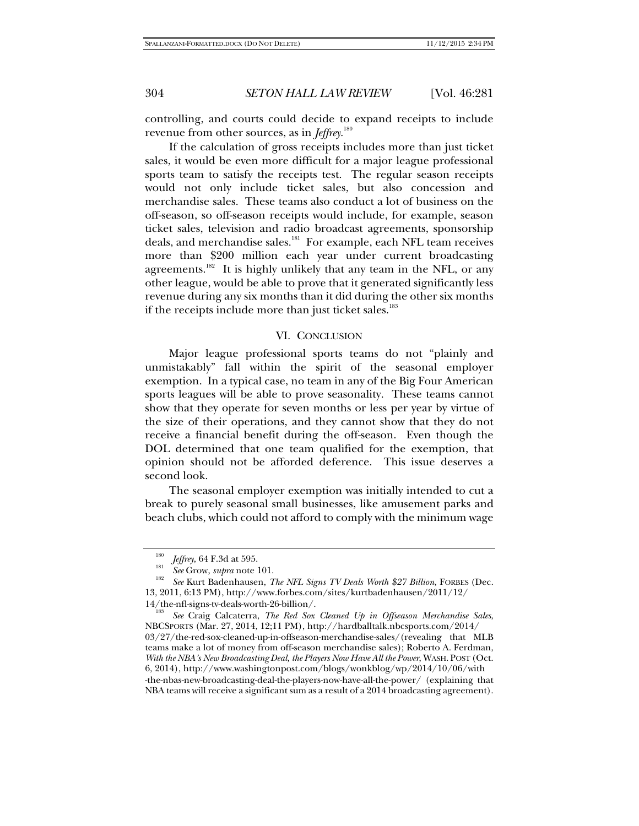controlling, and courts could decide to expand receipts to include revenue from other sources, as in *Jeffrey*. 180

If the calculation of gross receipts includes more than just ticket sales, it would be even more difficult for a major league professional sports team to satisfy the receipts test. The regular season receipts would not only include ticket sales, but also concession and merchandise sales. These teams also conduct a lot of business on the off-season, so off-season receipts would include, for example, season ticket sales, television and radio broadcast agreements, sponsorship deals, and merchandise sales.<sup>181</sup> For example, each NFL team receives more than \$200 million each year under current broadcasting agreements.<sup>182</sup> It is highly unlikely that any team in the NFL, or any other league, would be able to prove that it generated significantly less revenue during any six months than it did during the other six months if the receipts include more than just ticket sales.<sup>183</sup>

#### VI. CONCLUSION

Major league professional sports teams do not "plainly and unmistakably" fall within the spirit of the seasonal employer exemption. In a typical case, no team in any of the Big Four American sports leagues will be able to prove seasonality. These teams cannot show that they operate for seven months or less per year by virtue of the size of their operations, and they cannot show that they do not receive a financial benefit during the off-season. Even though the DOL determined that one team qualified for the exemption, that opinion should not be afforded deference. This issue deserves a second look.

The seasonal employer exemption was initially intended to cut a break to purely seasonal small businesses, like amusement parks and beach clubs, which could not afford to comply with the minimum wage

<sup>&</sup>lt;sup>180</sup>*Jeffrey*, 64 F.3d at 595.<br><sup>181</sup> *See* Grow, *supra* note 101.

*See* Kurt Badenhausen, *The NFL Signs TV Deals Worth \$27 Billion*, FORBES (Dec. 13, 2011, 6:13 PM), http://www.forbes.com/sites/kurtbadenhausen/2011/12/

<sup>14/</sup>the-nfl-signs-tv-deals-worth-26-billion/. 183 *See* Craig Calcaterra, *The Red Sox Cleaned Up in Offseason Merchandise Sales*, NBCSPORTS (Mar. 27, 2014, 12;11 PM), http://hardballtalk.nbcsports.com/2014/ 03/27/the-red-sox-cleaned-up-in-offseason-merchandise-sales/(revealing that MLB teams make a lot of money from off-season merchandise sales); Roberto A. Ferdman, *With the NBA's New Broadcasting Deal, the Players Now Have All the Power*, WASH. POST (Oct. 6, 2014), http://www.washingtonpost.com/blogs/wonkblog/wp/2014/10/06/with -the-nbas-new-broadcasting-deal-the-players-now-have-all-the-power/ (explaining that NBA teams will receive a significant sum as a result of a 2014 broadcasting agreement).